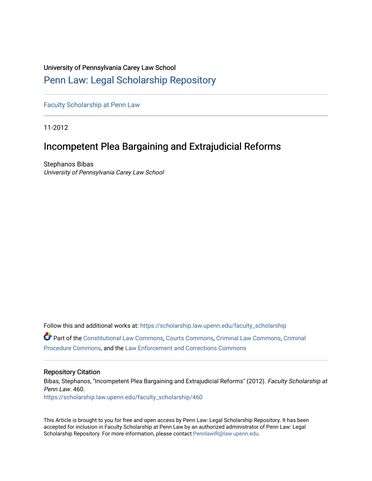# University of Pennsylvania Carey Law School

# [Penn Law: Legal Scholarship Repository](https://scholarship.law.upenn.edu/)

[Faculty Scholarship at Penn Law](https://scholarship.law.upenn.edu/faculty_scholarship)

11-2012

# Incompetent Plea Bargaining and Extrajudicial Reforms

Stephanos Bibas University of Pennsylvania Carey Law School

Follow this and additional works at: [https://scholarship.law.upenn.edu/faculty\\_scholarship](https://scholarship.law.upenn.edu/faculty_scholarship?utm_source=scholarship.law.upenn.edu%2Ffaculty_scholarship%2F460&utm_medium=PDF&utm_campaign=PDFCoverPages)  Part of the [Constitutional Law Commons,](http://network.bepress.com/hgg/discipline/589?utm_source=scholarship.law.upenn.edu%2Ffaculty_scholarship%2F460&utm_medium=PDF&utm_campaign=PDFCoverPages) [Courts Commons,](http://network.bepress.com/hgg/discipline/839?utm_source=scholarship.law.upenn.edu%2Ffaculty_scholarship%2F460&utm_medium=PDF&utm_campaign=PDFCoverPages) [Criminal Law Commons](http://network.bepress.com/hgg/discipline/912?utm_source=scholarship.law.upenn.edu%2Ffaculty_scholarship%2F460&utm_medium=PDF&utm_campaign=PDFCoverPages), [Criminal](http://network.bepress.com/hgg/discipline/1073?utm_source=scholarship.law.upenn.edu%2Ffaculty_scholarship%2F460&utm_medium=PDF&utm_campaign=PDFCoverPages)  [Procedure Commons](http://network.bepress.com/hgg/discipline/1073?utm_source=scholarship.law.upenn.edu%2Ffaculty_scholarship%2F460&utm_medium=PDF&utm_campaign=PDFCoverPages), and the [Law Enforcement and Corrections Commons](http://network.bepress.com/hgg/discipline/854?utm_source=scholarship.law.upenn.edu%2Ffaculty_scholarship%2F460&utm_medium=PDF&utm_campaign=PDFCoverPages) 

# Repository Citation

Bibas, Stephanos, "Incompetent Plea Bargaining and Extrajudicial Reforms" (2012). Faculty Scholarship at Penn Law. 460. [https://scholarship.law.upenn.edu/faculty\\_scholarship/460](https://scholarship.law.upenn.edu/faculty_scholarship/460?utm_source=scholarship.law.upenn.edu%2Ffaculty_scholarship%2F460&utm_medium=PDF&utm_campaign=PDFCoverPages) 

This Article is brought to you for free and open access by Penn Law: Legal Scholarship Repository. It has been accepted for inclusion in Faculty Scholarship at Penn Law by an authorized administrator of Penn Law: Legal Scholarship Repository. For more information, please contact [PennlawIR@law.upenn.edu.](mailto:PennlawIR@law.upenn.edu)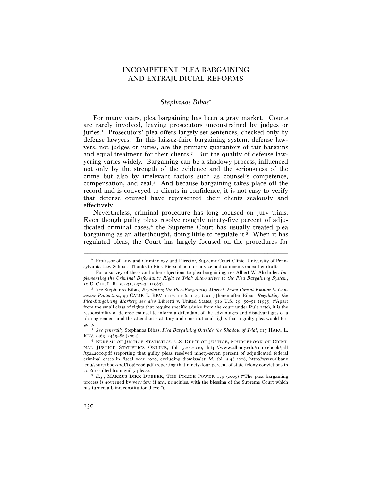# INCOMPETENT PLEA BARGAINING AND EXTRAJUDICIAL REFORMS

# *Stephanos Bibas*<sup>∗</sup>

For many years, plea bargaining has been a gray market. Courts are rarely involved, leaving prosecutors unconstrained by judges or juries.1 Prosecutors' plea offers largely set sentences, checked only by defense lawyers. In this laissez-faire bargaining system, defense lawyers, not judges or juries, are the primary guarantors of fair bargains and equal treatment for their clients.<sup>2</sup> But the quality of defense lawyering varies widely. Bargaining can be a shadowy process, influenced not only by the strength of the evidence and the seriousness of the crime but also by irrelevant factors such as counsel's competence, compensation, and zeal.3 And because bargaining takes place off the record and is conveyed to clients in confidence, it is not easy to verify that defense counsel have represented their clients zealously and effectively.

Nevertheless, criminal procedure has long focused on jury trials. Even though guilty pleas resolve roughly ninety-five percent of adjudicated criminal cases,<sup>4</sup> the Supreme Court has usually treated plea bargaining as an afterthought, doing little to regulate it.5 When it has regulated pleas, the Court has largely focused on the procedures for

<sup>–––––––––––––––––––––––––––––––––––––––––––––––––––––––––––––</sup> ∗ Professor of Law and Criminology and Director, Supreme Court Clinic, University of Pennsylvania Law School. Thanks to Rick Bierschbach for advice and comments on earlier drafts. 1 For a survey of these and other objections to plea bargaining, see Albert W. Alschuler, *Im-*

*plementing the Criminal Defendant's Right to Trial: Alternatives to the Plea Bargaining System*, <sup>50</sup> U. CHI. L. REV. 931, 932–34 (1983). 2 *See* Stephanos Bibas, *Regulating the Plea-Bargaining Market: From Caveat Emptor to Con-*

*sumer Protection*, 99 CALIF. L. REV. 1117, 1126, 1143 (2011) [hereinafter Bibas, *Regulating the Plea-Bargaining Market*]; *see also* Libretti v. United States, 516 U.S. 29, 50–51 (1995) ("Apart from the small class of rights that require specific advice from the court under Rule  $i\tau(c)$ , it is the responsibility of defense counsel to inform a defendant of the advantages and disadvantages of a plea agreement and the attendant statutory and constitutional rights that a guilty plea would for-

go."). 3 *See generally* Stephanos Bibas, *Plea Bargaining Outside the Shadow of Trial*, 117 HARV. L. REV. 2463, 2469–86 (2004). 4 BUREAU OF JUSTICE STATISTICS, U.S. DEP'T OF JUSTICE, SOURCEBOOK OF CRIMI-

NAL JUSTICE STATISTICS ONLINE, tbl. 5.24.2010, http://www.albany.edu/sourcebook/pdf /t5242010.pdf (reporting that guilty pleas resolved ninety-seven percent of adjudicated federal criminal cases in fiscal year 2010, excluding dismissals); *id.* tbl. 5.46.2006, http://www.albany .edu/sourcebook/pdf/t5462006.pdf (reporting that ninety-four percent of state felony convictions in 2006 resulted from guilty pleas).

<sup>5</sup> *E.g.*, MARKUS DIRK DUBBER, THE POLICE POWER 179 (2005) ("The plea bargaining process is governed by very few, if any, principles, with the blessing of the Supreme Court which has turned a blind constitutional eye.").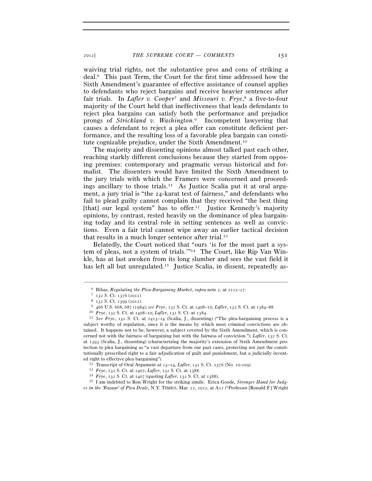waiving trial rights, not the substantive pros and cons of striking a deal.6 This past Term, the Court for the first time addressed how the Sixth Amendment's guarantee of effective assistance of counsel applies to defendants who reject bargains and receive heavier sentences after fair trials. In *Lafler v. Cooper*7 and *Missouri v. Frye*, 8 a five-to-four majority of the Court held that ineffectiveness that leads defendants to reject plea bargains can satisfy both the performance and prejudice prongs of *Strickland v. Washington*. 9 Incompetent lawyering that causes a defendant to reject a plea offer can constitute deficient performance, and the resulting loss of a favorable plea bargain can constitute cognizable prejudice, under the Sixth Amendment.10

The majority and dissenting opinions almost talked past each other, reaching starkly different conclusions because they started from opposing premises: contemporary and pragmatic versus historical and formalist. The dissenters would have limited the Sixth Amendment to the jury trials with which the Framers were concerned and proceedings ancillary to those trials.11 As Justice Scalia put it at oral argument, a jury trial is "the 24-karat test of fairness," and defendants who fail to plead guilty cannot complain that they received "the best thing [that] our legal system" has to offer.<sup>12</sup> Justice Kennedy's majority opinions, by contrast, rested heavily on the dominance of plea bargaining today and its central role in setting sentences as well as convictions. Even a fair trial cannot wipe away an earlier tactical decision that results in a much longer sentence after trial.13

Belatedly, the Court noticed that "ours 'is for the most part a system of pleas, not a system of trials.'"14 The Court, like Rip Van Winkle, has at last awoken from its long slumber and sees the vast field it has left all but unregulated.<sup>15</sup> Justice Scalia, in dissent, repeatedly as-

<sup>&</sup>lt;sup>6</sup> Bibas, *Regulating the Plea-Bargaining Market*, *supra* note 2, at  $1122-27$ .<br>
<sup>7</sup>  $132$  S. Ct.  $1376$  (2012).<br>
<sup>8</sup>  $132$  S. Ct. 1399 (2012).<br>
<sup>9</sup> 466 U.S. 668, 687 (1984); *see Frye*, 132 S. Ct. at 1408–10; *Lafler*, subject worthy of regulation, since it is the means by which most criminal convictions are obtained. It happens not to be, however, a subject covered by the Sixth Amendment, which is concerned not with the fairness of bargaining but with the fairness of conviction."); *Lafler*, 132 S. Ct. at 1393 (Scalia, J., dissenting) (characterizing the majority's extension of Sixth Amendment protection to plea bargaining as "a vast departure from our past cases, protecting not just the constitutionally prescribed right to a fair adjudication of guilt and punishment, but a judicially invented right to effective plea bargaining").<br>
<sup>12</sup> Transcript of Oral Argument at  $13-14$ , *Lafler*,  $132$  S. Ct.  $1376$  (No. 10-209).<br>
<sup>13</sup> *Frye*,  $132$  S. Ct. at  $1407$ ; *Lafler*,  $132$  S. Ct. at  $1388$ .<br>
<sup>14</sup> *Frye*,  $132$ 

*es in the 'Bazaar' of Plea Deals*, N.Y. TIMES, Mar. 22, 2012, at A12 ("Professor [Ronald F.] Wright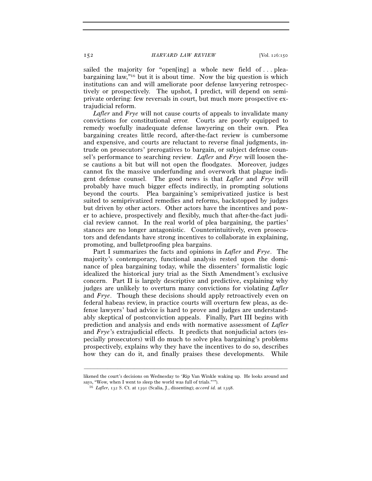sailed the majority for "open[ing] a whole new field of ... pleabargaining law,"16 but it is about time. Now the big question is which institutions can and will ameliorate poor defense lawyering retrospectively or prospectively. The upshot, I predict, will depend on semiprivate ordering: few reversals in court, but much more prospective extrajudicial reform.

*Lafler* and *Frye* will not cause courts of appeals to invalidate many convictions for constitutional error. Courts are poorly equipped to remedy woefully inadequate defense lawyering on their own. Plea bargaining creates little record, after-the-fact review is cumbersome and expensive, and courts are reluctant to reverse final judgments, intrude on prosecutors' prerogatives to bargain, or subject defense counsel's performance to searching review. *Lafler* and *Frye* will loosen these cautions a bit but will not open the floodgates. Moreover, judges cannot fix the massive underfunding and overwork that plague indigent defense counsel. The good news is that *Lafler* and *Frye* will probably have much bigger effects indirectly, in prompting solutions beyond the courts. Plea bargaining's semiprivatized justice is best suited to semiprivatized remedies and reforms, backstopped by judges but driven by other actors. Other actors have the incentives and power to achieve, prospectively and flexibly, much that after-the-fact judicial review cannot. In the real world of plea bargaining, the parties' stances are no longer antagonistic. Counterintuitively, even prosecutors and defendants have strong incentives to collaborate in explaining, promoting, and bulletproofing plea bargains.

Part I summarizes the facts and opinions in *Lafler* and *Frye*. The majority's contemporary, functional analysis rested upon the dominance of plea bargaining today, while the dissenters' formalistic logic idealized the historical jury trial as the Sixth Amendment's exclusive concern. Part II is largely descriptive and predictive, explaining why judges are unlikely to overturn many convictions for violating *Lafler* and *Frye*. Though these decisions should apply retroactively even on federal habeas review, in practice courts will overturn few pleas, as defense lawyers' bad advice is hard to prove and judges are understandably skeptical of postconviction appeals. Finally, Part III begins with prediction and analysis and ends with normative assessment of *Lafler* and *Frye*'s extrajudicial effects. It predicts that nonjudicial actors (especially prosecutors) will do much to solve plea bargaining's problems prospectively, explains why they have the incentives to do so, describes how they can do it, and finally praises these developments. While

––––––––––––––––––––––––––––––––––––––––––––––––––––––––––––– likened the court's decisions on Wednesday to 'Rip Van Winkle waking up. He looks around and says, "Wow, when I went to sleep the world was full of trials.""").

<sup>&</sup>lt;sup>16</sup> Lafler, 132 S. Ct. at 1391 (Scalia, J., dissenting); *accord id.* at 1398.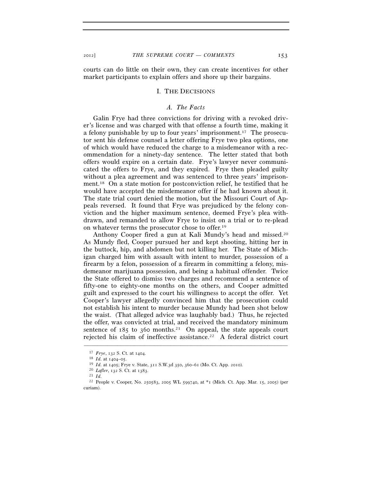courts can do little on their own, they can create incentives for other market participants to explain offers and shore up their bargains.

#### I. THE DECISIONS

## *A. The Facts*

Galin Frye had three convictions for driving with a revoked driver's license and was charged with that offense a fourth time, making it a felony punishable by up to four years' imprisonment.<sup>17</sup> The prosecutor sent his defense counsel a letter offering Frye two plea options, one of which would have reduced the charge to a misdemeanor with a recommendation for a ninety-day sentence. The letter stated that both offers would expire on a certain date. Frye's lawyer never communicated the offers to Frye, and they expired. Frye then pleaded guilty without a plea agreement and was sentenced to three years' imprisonment.18 On a state motion for postconviction relief, he testified that he would have accepted the misdemeanor offer if he had known about it. The state trial court denied the motion, but the Missouri Court of Appeals reversed. It found that Frye was prejudiced by the felony conviction and the higher maximum sentence, deemed Frye's plea withdrawn, and remanded to allow Frye to insist on a trial or to re-plead on whatever terms the prosecutor chose to offer.19

Anthony Cooper fired a gun at Kali Mundy's head and missed.20 As Mundy fled, Cooper pursued her and kept shooting, hitting her in the buttock, hip, and abdomen but not killing her. The State of Michigan charged him with assault with intent to murder, possession of a firearm by a felon, possession of a firearm in committing a felony, misdemeanor marijuana possession, and being a habitual offender. Twice the State offered to dismiss two charges and recommend a sentence of fifty-one to eighty-one months on the others, and Cooper admitted guilt and expressed to the court his willingness to accept the offer. Yet Cooper's lawyer allegedly convinced him that the prosecution could not establish his intent to murder because Mundy had been shot below the waist. (That alleged advice was laughably bad.) Thus, he rejected the offer, was convicted at trial, and received the mandatory minimum sentence of  $185$  to 360 months.<sup>21</sup> On appeal, the state appeals court rejected his claim of ineffective assistance.22 A federal district court

<sup>17</sup> *Frye*, 132 S. Ct. at 1404.

<sup>18</sup> *Id.* at 1404–05. 19 *Id.* at 1405; Frye v. State, 311 S.W.3d 350, 360–61 (Mo. Ct. App. 2010). 20 *Lafler*, 132 S. Ct. at 1383. 21 *Id.*

<sup>22</sup> People v. Cooper, No. 250583, 2005 WL 599740, at \*1 (Mich. Ct. App. Mar. 15, 2005) (per curiam).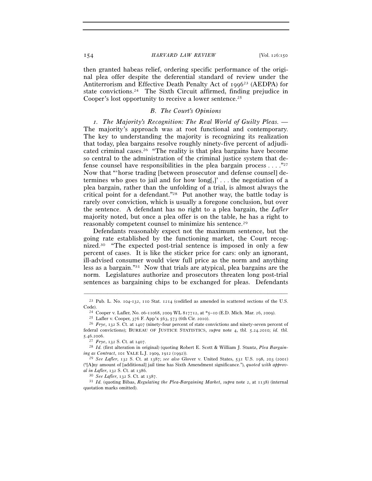then granted habeas relief, ordering specific performance of the original plea offer despite the deferential standard of review under the Antiterrorism and Effective Death Penalty Act of 1996<sup>23</sup> (AEDPA) for state convictions.24 The Sixth Circuit affirmed, finding prejudice in Cooper's lost opportunity to receive a lower sentence.25

## *B. The Court's Opinions*

*1. The Majority's Recognition: The Real World of Guilty Pleas. —*  The majority's approach was at root functional and contemporary. The key to understanding the majority is recognizing its realization that today, plea bargains resolve roughly ninety-five percent of adjudicated criminal cases.26 "The reality is that plea bargains have become so central to the administration of the criminal justice system that defense counsel have responsibilities in the plea bargain process . . . .  $\cdot$ <sup>27</sup> Now that "'horse trading [between prosecutor and defense counsel] determines who goes to jail and for how long[,]' . . . the negotiation of a plea bargain, rather than the unfolding of a trial, is almost always the critical point for a defendant."28 Put another way, the battle today is rarely over conviction, which is usually a foregone conclusion, but over the sentence. A defendant has no right to a plea bargain, the *Lafler* majority noted, but once a plea offer is on the table, he has a right to reasonably competent counsel to minimize his sentence.29

Defendants reasonably expect not the maximum sentence, but the going rate established by the functioning market, the Court recognized.<sup>30</sup> "The expected post-trial sentence is imposed in only a few percent of cases. It is like the sticker price for cars: only an ignorant, ill-advised consumer would view full price as the norm and anything less as a bargain."31 Now that trials are atypical, plea bargains are the norm. Legislatures authorize and prosecutors threaten long post-trial sentences as bargaining chips to be exchanged for pleas. Defendants

quotation marks omitted).

<sup>–––––––––––––––––––––––––––––––––––––––––––––––––––––––––––––</sup> 23 Pub. L. No. 104-132, 110 Stat. 1214 (codified as amended in scattered sections of the U.S. Code).<br>
<sup>24</sup> Cooper v. Lafler, No. 06-11068, 2009 WL 817712, at \*5-10 (E.D. Mich. Mar. 26, 2009).<br>
<sup>25</sup> Lafler v. Cooper, 376 F. App'x 563, 573 (6th Cir. 2010).<br>
<sup>26</sup> *Frye*, 132 S. Ct. at 1407 (ninety-four percent of sta

federal convictions); BUREAU OF JUSTICE STATISTICS, *supra* note 4, tbl. 5.24.2010; *id.* tbl. 5.46.2006. 27 *Frye*, 132 S. Ct. at 1407. 28 *Id.* (first alteration in original) (quoting Robert E. Scott & William J. Stuntz, *Plea Bargain-*

*ing as Contract*, 101 YALE L.J. 1909, 1912 (1992)). 29 *See Lafler*, 132 S. Ct. at 1387; *see also* Glover v. United States, 531 U.S. 198, 203 (2001)

<sup>(&</sup>quot;[A]ny amount of [additional] jail time has Sixth Amendment significance."), *quoted with approval in Lafler*, 132 S. Ct. at 1386. 30 *See Lafler*, 132 S. Ct. at 1387. 31 *Id.* (quoting Bibas, *Regulating the Plea-Bargaining Market*, *supra* note 2, at 1138) (internal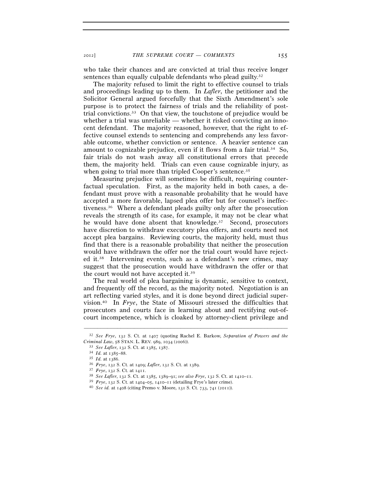who take their chances and are convicted at trial thus receive longer sentences than equally culpable defendants who plead guilty.<sup>32</sup>

The majority refused to limit the right to effective counsel to trials and proceedings leading up to them. In *Lafler*, the petitioner and the Solicitor General argued forcefully that the Sixth Amendment's sole purpose is to protect the fairness of trials and the reliability of posttrial convictions.33 On that view, the touchstone of prejudice would be whether a trial was unreliable — whether it risked convicting an innocent defendant. The majority reasoned, however, that the right to effective counsel extends to sentencing and comprehends any less favorable outcome, whether conviction or sentence. A heavier sentence can amount to cognizable prejudice, even if it flows from a fair trial.34 So, fair trials do not wash away all constitutional errors that precede them, the majority held. Trials can even cause cognizable injury, as when going to trial more than tripled Cooper's sentence.<sup>35</sup>

Measuring prejudice will sometimes be difficult, requiring counterfactual speculation. First, as the majority held in both cases, a defendant must prove with a reasonable probability that he would have accepted a more favorable, lapsed plea offer but for counsel's ineffectiveness.36 Where a defendant pleads guilty only after the prosecution reveals the strength of its case, for example, it may not be clear what he would have done absent that knowledge.37 Second, prosecutors have discretion to withdraw executory plea offers, and courts need not accept plea bargains. Reviewing courts, the majority held, must thus find that there is a reasonable probability that neither the prosecution would have withdrawn the offer nor the trial court would have rejected it.38 Intervening events, such as a defendant's new crimes, may suggest that the prosecution would have withdrawn the offer or that the court would not have accepted it.39

The real world of plea bargaining is dynamic, sensitive to context, and frequently off the record, as the majority noted. Negotiation is an art reflecting varied styles, and it is done beyond direct judicial supervision.40 In *Frye*, the State of Missouri stressed the difficulties that prosecutors and courts face in learning about and rectifying out-ofcourt incompetence, which is cloaked by attorney-client privilege and

<sup>–––––––––––––––––––––––––––––––––––––––––––––––––––––––––––––</sup> 32 *See Frye*, 132 S. Ct. at 1407 (quoting Rachel E. Barkow, *Separation of Powers and the* 

<sup>&</sup>lt;sup>33</sup> *See Lafler*, 132 *S.* Ct. at 1385, 1387.<br>
<sup>34</sup> *Id.* at 1385–88.<br>
<sup>35</sup> *Id.* at 1386.<br>
<sup>36</sup> *Frye*, 132 *S.* Ct. at 1409; *Lafler*, 132 *S.* Ct. at 1389.<br>
<sup>37</sup> *Frye*, 132 *S.* Ct. at 1411.<br>
<sup>38</sup> *See Lafler*, 132 *S*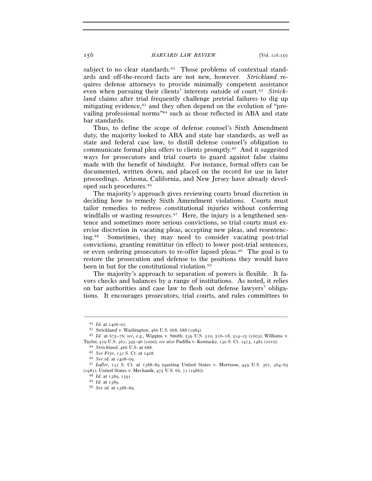subject to no clear standards.<sup>41</sup> Those problems of contextual standards and off-the-record facts are not new, however. *Strickland* requires defense attorneys to provide minimally competent assistance even when pursuing their clients' interests outside of court.42 *Strickland* claims after trial frequently challenge pretrial failures to dig up mitigating evidence,43 and they often depend on the evolution of "prevailing professional norms"44 such as those reflected in ABA and state bar standards.

Thus, to define the scope of defense counsel's Sixth Amendment duty, the majority looked to ABA and state bar standards, as well as state and federal case law, to distill defense counsel's obligation to communicate formal plea offers to clients promptly.45 And it suggested ways for prosecutors and trial courts to guard against false claims made with the benefit of hindsight. For instance, formal offers can be documented, written down, and placed on the record for use in later proceedings. Arizona, California, and New Jersey have already developed such procedures.46

The majority's approach gives reviewing courts broad discretion in deciding how to remedy Sixth Amendment violations. Courts must tailor remedies to redress constitutional injuries without conferring windfalls or wasting resources.<sup>47</sup> Here, the injury is a lengthened sentence and sometimes more serious convictions, so trial courts must exercise discretion in vacating pleas, accepting new pleas, and resentencing.48 Sometimes, they may need to consider vacating post-trial convictions, granting remittitur (in effect) to lower post-trial sentences, or even ordering prosecutors to re-offer lapsed pleas.49 The goal is to restore the prosecution and defense to the positions they would have been in but for the constitutional violation.50

The majority's approach to separation of powers is flexible. It favors checks and balances by a range of institutions. As noted, it relies on bar authorities and case law to flesh out defense lawyers' obligations. It encourages prosecutors, trial courts, and rules committees to

<sup>41</sup> *Id.* at 1406–07. 42 Strickland v. Washington, 466 U.S. 668, 688 (1984). 43 *Id.* at 675–76; *see, e.g.*, Wiggins v. Smith, 539 U.S. 510, 516–18, 524–25 (2003); Williams v. Taylor, 529 U.S. 362, 395–96 (2000); *see also* Padilla v. Kentucky, 130 S. Ct. 1473, 1482 (2010).<br>
<sup>44</sup> Strickland, 466 U.S. at 688.<br>
<sup>45</sup> See Frye, 132 S. Ct. at 1408.<br>
<sup>46</sup> See id. at 1408–09.<br>
<sup>47</sup> Lafler, 132 S. Ct. a

<sup>(</sup>1981); United States v. Mechanik, 475 U.S. 66, 72 (1986)). 48 *Id.* at 1389, 1391. 49 *Id.* at 1389. 50 *See id.* at 1388–89.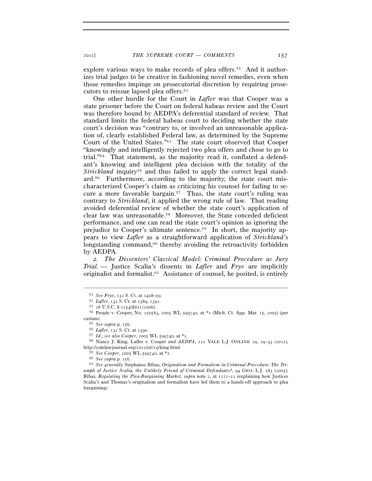explore various ways to make records of plea offers.<sup>51</sup> And it authorizes trial judges to be creative in fashioning novel remedies, even when those remedies impinge on prosecutorial discretion by requiring prosecutors to reissue lapsed plea offers.52

One other hurdle for the Court in *Lafler* was that Cooper was a state prisoner before the Court on federal habeas review and the Court was therefore bound by AEDPA's deferential standard of review. That standard limits the federal habeas court to deciding whether the state court's decision was "contrary to, or involved an unreasonable application of, clearly established Federal law, as determined by the Supreme Court of the United States."53 The state court observed that Cooper "knowingly and intelligently rejected two plea offers and chose to go to trial."54 That statement, as the majority read it, conflated a defendant's knowing and intelligent plea decision with the totality of the *Strickland* inquiry<sup>55</sup> and thus failed to apply the correct legal standard.56 Furthermore, according to the majority, the state court mischaracterized Cooper's claim as criticizing his counsel for failing to secure a more favorable bargain.57 Thus, the state court's ruling was contrary to *Strickland*; it applied the wrong rule of law. That reading avoided deferential review of whether the state court's application of clear law was unreasonable.58 Moreover, the State conceded deficient performance, and one can read the state court's opinion as ignoring the prejudice to Cooper's ultimate sentence.59 In short, the majority appears to view *Lafler* as a straightforward application of *Strickland*'s longstanding command,<sup>60</sup> thereby avoiding the retroactivity forbidden by AEDPA.

*2. The Dissenters' Classical Model: Criminal Procedure as Jury Trial. —* Justice Scalia's dissents in *Lafler* and *Frye* are implicitly originalist and formalist.61 Assistance of counsel, he posited, is entirely

<sup>51</sup> *See Frye*, 132 S. Ct. at 1408–09. 52 *Lafler*, 132 S. Ct. at 1389, 1391. 53 <sup>28</sup> U.S.C. § 2254(d)(1) (2006). 54 People v. Cooper, No. 250583, 2005 WL 599740, at \*1 (Mich. Ct. App. Mar. 15, 2005) (per

curiam).<br>
55 See supra p. 156.<br>
56 Lafler, 132 S. Ct. at 1390.<br>
57 Id.; see also Cooper, 2005 WL 599740, at \*1.<br>
58 Nancy J. King, Lafler v. Cooper and AEDPA, 122 YALE L.J. ONLINE 29, 29–33 (2012), http://yalelawjournal.org/2012/06/19/king.html.

<sup>59</sup> *See Cooper*, 2005 WL 599740, at \*1. 60 *See supra* p. 156. 61 *See generally* Stephanos Bibas, *Originalism and Formalism in Criminal Procedure: The Triumph of Justice Scalia, the Unlikely Friend of Criminal Defendants?*, 94 GEO. L.J. 183 (2005); Bibas, *Regulating the Plea-Bargaining Market*, *supra* note 2, at 1121–22 (explaining how Justices Scalia's and Thomas's originalism and formalism have led them to a hands-off approach to plea bargaining).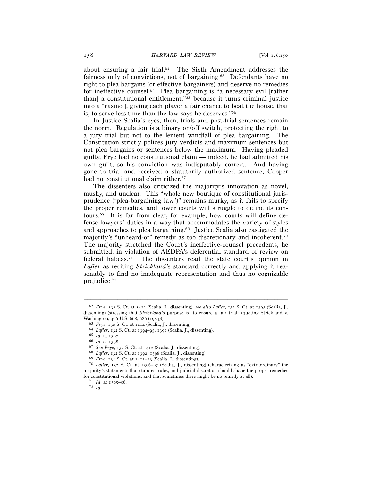about ensuring a fair trial.62 The Sixth Amendment addresses the fairness only of convictions, not of bargaining.63 Defendants have no right to plea bargains (or effective bargainers) and deserve no remedies for ineffective counsel.64 Plea bargaining is "a necessary evil [rather than] a constitutional entitlement,"65 because it turns criminal justice into a "casino[], giving each player a fair chance to beat the house, that is, to serve less time than the law says he deserves."66

In Justice Scalia's eyes, then, trials and post-trial sentences remain the norm. Regulation is a binary on/off switch, protecting the right to a jury trial but not to the lenient windfall of plea bargaining. The Constitution strictly polices jury verdicts and maximum sentences but not plea bargains or sentences below the maximum. Having pleaded guilty, Frye had no constitutional claim — indeed, he had admitted his own guilt, so his conviction was indisputably correct. And having gone to trial and received a statutorily authorized sentence, Cooper had no constitutional claim either.<sup>67</sup>

The dissenters also criticized the majority's innovation as novel, mushy, and unclear. This "whole new boutique of constitutional jurisprudence ('plea-bargaining law')" remains murky, as it fails to specify the proper remedies, and lower courts will struggle to define its contours.68 It is far from clear, for example, how courts will define defense lawyers' duties in a way that accommodates the variety of styles and approaches to plea bargaining.69 Justice Scalia also castigated the majority's "unheard-of" remedy as too discretionary and incoherent.70 The majority stretched the Court's ineffective-counsel precedents, he submitted, in violation of AEDPA's deferential standard of review on federal habeas.71 The dissenters read the state court's opinion in *Lafler* as reciting *Strickland*'s standard correctly and applying it reasonably to find no inadequate representation and thus no cognizable prejudice.72

<sup>62</sup> *Frye*, 132 S. Ct. at 1412 (Scalia, J., dissenting); *see also Lafler*, 132 S. Ct. at 1393 (Scalia, J., dissenting) (stressing that *Strickland*'s purpose is "to ensure a fair trial" (quoting Strickland v. Washington, 466 U.S. 668, 686 (1984))).<br>
<sup>63</sup> *Frye*, 132 S. Ct. at 1414 (Scalia, J., dissenting).<br>
<sup>64</sup> *Lafler*, 132 S. Ct. at 1394–95, 1397 (Scalia, J., dissenting).<br>
<sup>65</sup> *Id.* at 1397.<br>
<sup>66</sup> *Id.* at 1398.<br>
<sup>67</sup> *See* 

majority's statements that statutes, rules, and judicial discretion should shape the proper remedies for constitutional violations, and that sometimes there might be no remedy at all). <sup>71</sup> *Id.* at 1395–96. *72 Id.*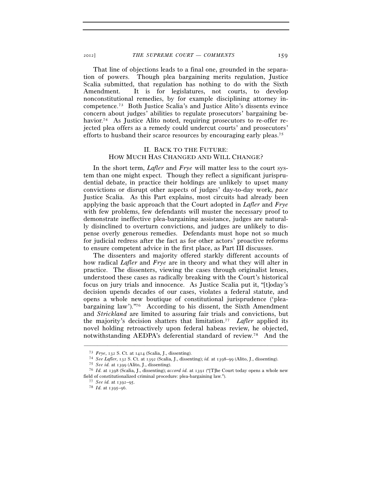That line of objections leads to a final one, grounded in the separation of powers. Though plea bargaining merits regulation, Justice Scalia submitted, that regulation has nothing to do with the Sixth Amendment. It is for legislatures, not courts, to develop nonconstitutional remedies, by for example disciplining attorney incompetence.73 Both Justice Scalia's and Justice Alito's dissents evince concern about judges' abilities to regulate prosecutors' bargaining behavior.<sup>74</sup> As Justice Alito noted, requiring prosecutors to re-offer rejected plea offers as a remedy could undercut courts' and prosecutors' efforts to husband their scarce resources by encouraging early pleas.75

# II. BACK TO THE FUTURE: HOW MUCH HAS CHANGED AND WILL CHANGE?

In the short term, *Lafler* and *Frye* will matter less to the court system than one might expect. Though they reflect a significant jurisprudential debate, in practice their holdings are unlikely to upset many convictions or disrupt other aspects of judges' day-to-day work, *pace* Justice Scalia. As this Part explains, most circuits had already been applying the basic approach that the Court adopted in *Lafler* and *Frye* with few problems, few defendants will muster the necessary proof to demonstrate ineffective plea-bargaining assistance, judges are naturally disinclined to overturn convictions, and judges are unlikely to dispense overly generous remedies. Defendants must hope not so much for judicial redress after the fact as for other actors' proactive reforms to ensure competent advice in the first place, as Part III discusses.

The dissenters and majority offered starkly different accounts of how radical *Lafler* and *Frye* are in theory and what they will alter in practice. The dissenters, viewing the cases through originalist lenses, understood these cases as radically breaking with the Court's historical focus on jury trials and innocence. As Justice Scalia put it, "[t]oday's decision upends decades of our cases, violates a federal statute, and opens a whole new boutique of constitutional jurisprudence ('pleabargaining law')."76 According to his dissent, the Sixth Amendment and *Strickland* are limited to assuring fair trials and convictions, but the majority's decision shatters that limitation.77 *Lafler* applied its novel holding retroactively upon federal habeas review, he objected, notwithstanding AEDPA's deferential standard of review.78 And the

<sup>&</sup>lt;sup>73</sup> *Frye*, 132 S. Ct. at 1414 (Scalia, J., dissenting).<br>
<sup>74</sup> *See Lafler*, 132 S. Ct. at 1392 (Scalia, J., dissenting); *id.* at 1398–99 (Alito, J., dissenting).<br>
<sup>75</sup> *See id.* at 1399 (Alito, J., dissenting).<br>
<sup>75</sup>

field of constitutionalized criminal procedure: plea-bargaining law."). 77 *See id.* at 1392–95. 78 *Id.* at 1395–96.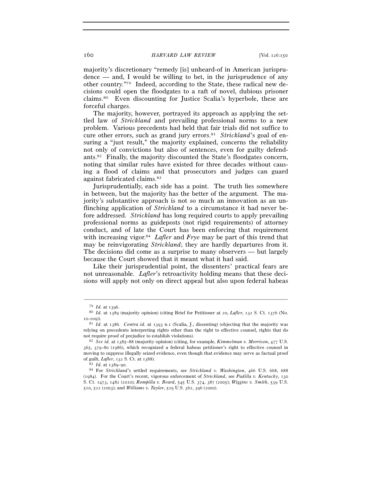majority's discretionary "remedy [is] unheard-of in American jurispru $d$ ence — and, I would be willing to bet, in the jurisprudence of any other country."79 Indeed, according to the State, these radical new decisions could open the floodgates to a raft of novel, dubious prisoner claims.80 Even discounting for Justice Scalia's hyperbole, these are forceful charges.

The majority, however, portrayed its approach as applying the settled law of *Strickland* and prevailing professional norms to a new problem. Various precedents had held that fair trials did not suffice to cure other errors, such as grand jury errors.81 *Strickland*'s goal of ensuring a "just result," the majority explained, concerns the reliability not only of convictions but also of sentences, even for guilty defendants.82 Finally, the majority discounted the State's floodgates concern, noting that similar rules have existed for three decades without causing a flood of claims and that prosecutors and judges can guard against fabricated claims.83

Jurisprudentially, each side has a point. The truth lies somewhere in between, but the majority has the better of the argument. The majority's substantive approach is not so much an innovation as an unflinching application of *Strickland* to a circumstance it had never before addressed. *Strickland* has long required courts to apply prevailing professional norms as guideposts (not rigid requirements) of attorney conduct, and of late the Court has been enforcing that requirement with increasing vigor.<sup>84</sup> *Lafler* and *Frye* may be part of this trend that may be reinvigorating *Strickland*; they are hardly departures from it. The decisions did come as a surprise to many observers — but largely because the Court showed that it meant what it had said.

Like their jurisprudential point, the dissenters' practical fears are not unreasonable. *Lafler*'s retroactivity holding means that these decisions will apply not only on direct appeal but also upon federal habeas

<sup>79</sup> *Id.* at 1396. 80 *Id.* at 1389 (majority opinion) (citing Brief for Petitioner at 20, *Lafler*, 132 S. Ct. 1376 (No.

<sup>10-209</sup>)). 81 *Id.* at 1386. *Contra id.* at 1393 n.1 (Scalia, J., dissenting) (objecting that the majority was relying on precedents interpreting rights other than the right to effective counsel, rights that do not require proof of prejudice to establish violations). 82 *See id.* at 1385–88 (majority opinion) (citing, for example, *Kimmelman v. Morrison*, 477 U.S.

<sup>365</sup>, 379–80 (1986), which recognized a federal habeas petitioner's right to effective counsel in moving to suppress illegally seized evidence, even though that evidence may serve as factual proof of guilt, *Lafler*, 132 S. Ct. at 1388). 83 *Id.* at 1389–90. 84 For *Strickland*'s settled requirements, see *Strickland v. Washington*, 466 U.S. 668, <sup>688</sup>

<sup>(1984)</sup>. For the Court's recent, vigorous enforcement of *Strickland*, see *Padilla v. Kentucky*, 130 S. Ct. 1473, 1482 (2010); *Rompilla v. Beard*, 545 U.S. 374, 387 (2005); *Wiggins v. Smith*, 539 U.S. 510, 522 (2003); and *Williams v. Taylor*, 529 U.S. 362, 396 (2000).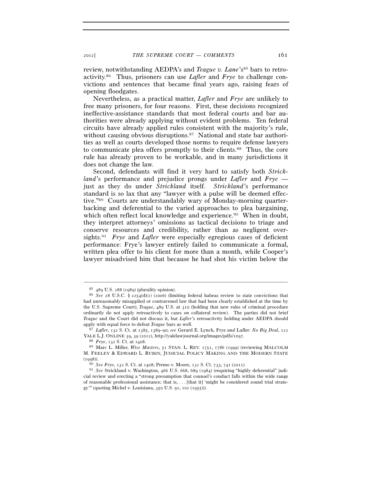review, notwithstanding AEDPA's and *Teague v. Lane*'s<sup>85</sup> bars to retroactivity.86 Thus, prisoners can use *Lafler* and *Frye* to challenge convictions and sentences that became final years ago, raising fears of opening floodgates.

Nevertheless, as a practical matter, *Lafler* and *Frye* are unlikely to free many prisoners, for four reasons. First, these decisions recognized ineffective-assistance standards that most federal courts and bar authorities were already applying without evident problems. Ten federal circuits have already applied rules consistent with the majority's rule, without causing obvious disruptions.<sup>87</sup> National and state bar authorities as well as courts developed those norms to require defense lawyers to communicate plea offers promptly to their clients.88 Thus, the core rule has already proven to be workable, and in many jurisdictions it does not change the law.

Second, defendants will find it very hard to satisfy both *Strickland*'s performance and prejudice prongs under *Lafler* and *Frye* just as they do under *Strickland* itself. *Strickland*'s performance standard is so lax that any "lawyer with a pulse will be deemed effective."89 Courts are understandably wary of Monday-morning quarterbacking and deferential to the varied approaches to plea bargaining, which often reflect local knowledge and experience.<sup>90</sup> When in doubt, they interpret attorneys' omissions as tactical decisions to triage and conserve resources and credibility, rather than as negligent oversights.91 *Frye* and *Lafler* were especially egregious cases of deficient performance: Frye's lawyer entirely failed to communicate a formal, written plea offer to his client for more than a month, while Cooper's lawyer misadvised him that because he had shot his victim below the

<sup>85</sup> <sup>489</sup> U.S. 288 (1989) (plurality opinion). 86 *See* <sup>28</sup> U.S.C. § 2254(d)(1) (2006) (limiting federal habeas review to state convictions that had unreasonably misapplied or contravened law that had been clearly established at the time by the U.S. Supreme Court); *Teague*, 489 U.S. at 310 (holding that new rules of criminal procedure ordinarily do not apply retroactively to cases on collateral review). The parties did not brief *Teague* and the Court did not discuss it, but *Lafler*'s retroactivity holding under AEDPA should apply with equal force to defeat *Teague* bars as well. 87 *Lafler*, 132 S. Ct. at 1385, 1389–90; *see* Gerard E. Lynch, Frye *and* Lafler*: No Big Deal*, <sup>122</sup>

YALE L.J. ONLINE 39, 39 (2012), http://yalelawjournal.org/images/pdfs/1097. 88 *Frye*, 132 S. Ct. at 1408. 89 Marc L. Miller, *Wise Masters*, 51 STAN. L. REV. 1751, 1786 (1999) (reviewing MALCOLM

M. FEELEY & EDWARD L. RUBIN, JUDICIAL POLICY MAKING AND THE MODERN STATE (1998)). 90 *See Frye*, 132 S. Ct. at 1408; Premo v. Moore, 131 S. Ct. 733, 741 (2011). 91 *See* Strickland v. Washington, 466 U.S. 668, 689 (1984) (requiring "highly deferential" judi-

cial review and erecting a "strong presumption that counsel's conduct falls within the wide range of reasonable professional assistance; that is, . . . [that it] 'might be considered sound trial strategy'" (quoting Michel v. Louisiana, 350 U.S. 91, 101 (1955))).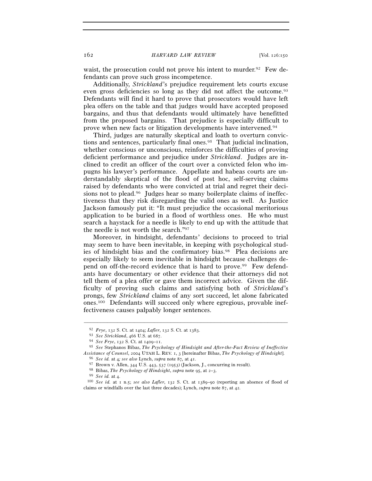waist, the prosecution could not prove his intent to murder.<sup>92</sup> Few defendants can prove such gross incompetence.

Additionally, *Strickland*'s prejudice requirement lets courts excuse even gross deficiencies so long as they did not affect the outcome.93 Defendants will find it hard to prove that prosecutors would have left plea offers on the table and that judges would have accepted proposed bargains, and thus that defendants would ultimately have benefitted from the proposed bargains. That prejudice is especially difficult to prove when new facts or litigation developments have intervened.94

Third, judges are naturally skeptical and loath to overturn convictions and sentences, particularly final ones.95 That judicial inclination, whether conscious or unconscious, reinforces the difficulties of proving deficient performance and prejudice under *Strickland*. Judges are inclined to credit an officer of the court over a convicted felon who impugns his lawyer's performance. Appellate and habeas courts are understandably skeptical of the flood of post hoc, self-serving claims raised by defendants who were convicted at trial and regret their decisions not to plead.96 Judges hear so many boilerplate claims of ineffectiveness that they risk disregarding the valid ones as well. As Justice Jackson famously put it: "It must prejudice the occasional meritorious application to be buried in a flood of worthless ones. He who must search a haystack for a needle is likely to end up with the attitude that the needle is not worth the search."97

Moreover, in hindsight, defendants' decisions to proceed to trial may seem to have been inevitable, in keeping with psychological studies of hindsight bias and the confirmatory bias.98 Plea decisions are especially likely to seem inevitable in hindsight because challenges depend on off-the-record evidence that is hard to prove.99 Few defendants have documentary or other evidence that their attorneys did not tell them of a plea offer or gave them incorrect advice. Given the difficulty of proving such claims and satisfying both of *Strickland*'s prongs, few *Strickland* claims of any sort succeed, let alone fabricated ones.100 Defendants will succeed only where egregious, provable ineffectiveness causes palpably longer sentences.

<sup>&</sup>lt;sup>92</sup> *Frye*, 132 S. Ct. at 1404; *Lafler*, 132 S. Ct. at 1383.<br><sup>93</sup> *See Strickland*, 466 U.S. at 687.<br><sup>94</sup> *See Frye*, 132 S. Ct. at 1409–11.<br><sup>95</sup> *See* Stephanos Bibas, *The Psychology of Hindsight and After-the-Fact Re* Assistance of Counsel, 2004 UTAH L. REV. 1, 3 [hereinafter Bibas, *The Psychology of Hindsight*].<br><sup>96</sup> See id. at 4; see also Lynch, supra note 87, at 41.<br><sup>97</sup> Brown v. Allen, 344 U.S. 443, 537 (1953) (Jackson, J., concur

claims or windfalls over the last three decades); Lynch, *supra* note 87, at 42*.*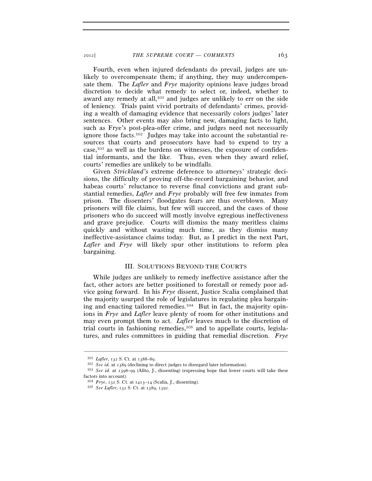Fourth, even when injured defendants do prevail, judges are unlikely to overcompensate them; if anything, they may undercompensate them. The *Lafler* and *Frye* majority opinions leave judges broad discretion to decide what remedy to select or, indeed, whether to award any remedy at all,<sup>101</sup> and judges are unlikely to err on the side of leniency. Trials paint vivid portraits of defendants' crimes, providing a wealth of damaging evidence that necessarily colors judges' later sentences. Other events may also bring new, damaging facts to light, such as Frye's post-plea-offer crime, and judges need not necessarily ignore those facts.102 Judges may take into account the substantial resources that courts and prosecutors have had to expend to try a case,103 as well as the burdens on witnesses, the exposure of confidential informants, and the like. Thus, even when they award relief, courts' remedies are unlikely to be windfalls.

Given *Strickland*'s extreme deference to attorneys' strategic decisions, the difficulty of proving off-the-record bargaining behavior, and habeas courts' reluctance to reverse final convictions and grant substantial remedies, *Lafler* and *Frye* probably will free few inmates from prison. The dissenters' floodgates fears are thus overblown. Many prisoners will file claims, but few will succeed, and the cases of those prisoners who do succeed will mostly involve egregious ineffectiveness and grave prejudice. Courts will dismiss the many meritless claims quickly and without wasting much time, as they dismiss many ineffective-assistance claims today. But, as I predict in the next Part, *Lafler* and *Frye* will likely spur other institutions to reform plea bargaining.

## III. SOLUTIONS BEYOND THE COURTS

While judges are unlikely to remedy ineffective assistance after the fact, other actors are better positioned to forestall or remedy poor advice going forward. In his *Frye* dissent, Justice Scalia complained that the majority usurped the role of legislatures in regulating plea bargaining and enacting tailored remedies.104 But in fact, the majority opinions in *Frye* and *Lafler* leave plenty of room for other institutions and may even prompt them to act. *Lafler* leaves much to the discretion of trial courts in fashioning remedies,<sup>105</sup> and to appellate courts, legislatures, and rules committees in guiding that remedial discretion. *Frye*

<sup>&</sup>lt;sup>101</sup> *Lafler*, 132 S. Ct. at 1388–89.<br><sup>102</sup> *See id.* at 1389 (declining to direct judges to disregard later information).<br><sup>103</sup> *See id.* at 1398–99 (Alito, J., dissenting) (expressing hope that lower courts will take t factors into account).

<sup>104</sup> *Frye*, 132 S. Ct. at 1413–14 (Scalia, J., dissenting). 105 *See Lafler*, 132 S. Ct. at 1389, 1391.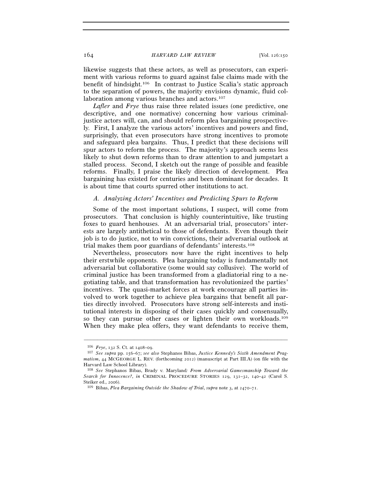likewise suggests that these actors, as well as prosecutors, can experiment with various reforms to guard against false claims made with the benefit of hindsight.106 In contrast to Justice Scalia's static approach to the separation of powers, the majority envisions dynamic, fluid collaboration among various branches and actors.<sup>107</sup>

*Lafler* and *Frye* thus raise three related issues (one predictive, one descriptive, and one normative) concerning how various criminaljustice actors will, can, and should reform plea bargaining prospectively. First, I analyze the various actors' incentives and powers and find, surprisingly, that even prosecutors have strong incentives to promote and safeguard plea bargains. Thus, I predict that these decisions will spur actors to reform the process. The majority's approach seems less likely to shut down reforms than to draw attention to and jumpstart a stalled process. Second, I sketch out the range of possible and feasible reforms. Finally, I praise the likely direction of development. Plea bargaining has existed for centuries and been dominant for decades. It is about time that courts spurred other institutions to act.

### *A. Analyzing Actors' Incentives and Predicting Spurs to Reform*

Some of the most important solutions, I suspect, will come from prosecutors. That conclusion is highly counterintuitive, like trusting foxes to guard henhouses. At an adversarial trial, prosecutors' interests are largely antithetical to those of defendants. Even though their job is to do justice, not to win convictions, their adversarial outlook at trial makes them poor guardians of defendants' interests.108

Nevertheless, prosecutors now have the right incentives to help their erstwhile opponents. Plea bargaining today is fundamentally not adversarial but collaborative (some would say collusive). The world of criminal justice has been transformed from a gladiatorial ring to a negotiating table, and that transformation has revolutionized the parties' incentives. The quasi-market forces at work encourage all parties involved to work together to achieve plea bargains that benefit all parties directly involved. Prosecutors have strong self-interests and institutional interests in disposing of their cases quickly and consensually, so they can pursue other cases or lighten their own workloads.109 When they make plea offers, they want defendants to receive them,

<sup>106</sup> *Frye*, 132 S. Ct. at 1408–09. 107 *See supra* pp. 156–67; *see also* Stephanos Bibas, *Justice Kennedy's Sixth Amendment Pragmatism*, 44 MCGEORGE L. REV. (forthcoming 2012) (manuscript at Part III.A) (on file with the Harvard Law School Library).

<sup>108</sup> *See* Stephanos Bibas, Brady v. Maryland*: From Adversarial Gamesmanship Toward the Search for Innocence?*, *in* CRIMINAL PROCEDURE STORIES 129, 131–32, 140–42 (Carol S. Steiker ed., 2006). 109 Bibas, *Plea Bargaining Outside the Shadow of Trial*, *supra* note 3, at 2470–71.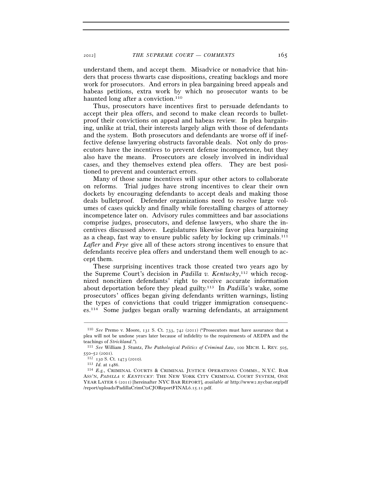understand them, and accept them. Misadvice or nonadvice that hinders that process thwarts case dispositions, creating backlogs and more work for prosecutors. And errors in plea bargaining breed appeals and habeas petitions, extra work by which no prosecutor wants to be haunted long after a conviction.<sup>110</sup>

Thus, prosecutors have incentives first to persuade defendants to accept their plea offers, and second to make clean records to bulletproof their convictions on appeal and habeas review. In plea bargaining, unlike at trial, their interests largely align with those of defendants and the system. Both prosecutors and defendants are worse off if ineffective defense lawyering obstructs favorable deals. Not only do prosecutors have the incentives to prevent defense incompetence, but they also have the means. Prosecutors are closely involved in individual cases, and they themselves extend plea offers. They are best positioned to prevent and counteract errors.

Many of those same incentives will spur other actors to collaborate on reforms. Trial judges have strong incentives to clear their own dockets by encouraging defendants to accept deals and making those deals bulletproof. Defender organizations need to resolve large volumes of cases quickly and finally while forestalling charges of attorney incompetence later on. Advisory rules committees and bar associations comprise judges, prosecutors, and defense lawyers, who share the incentives discussed above. Legislatures likewise favor plea bargaining as a cheap, fast way to ensure public safety by locking up criminals.111 *Lafler* and *Frye* give all of these actors strong incentives to ensure that defendants receive plea offers and understand them well enough to accept them.

These surprising incentives track those created two years ago by the Supreme Court's decision in *Padilla v. Kentucky*,<sup>112</sup> which recognized noncitizen defendants' right to receive accurate information about deportation before they plead guilty.113 In *Padilla*'s wake, some prosecutors' offices began giving defendants written warnings, listing the types of convictions that could trigger immigration consequences.114 Some judges began orally warning defendants, at arraignment

<sup>110</sup> *See* Premo v. Moore, 131 S. Ct. 733, 742 (2011) ("Prosecutors must have assurance that a plea will not be undone years later because of infidelity to the requirements of AEDPA and the

teachings of *Strickland."*).<br><sup>111</sup> *See* William J. Stuntz, *The Pathological Politics of Criminal Law*, 100 MICH. L. REV. 505,<br>550–52 (2001).

<sup>550</sup>–52 (2001). 112 <sup>130</sup> S. Ct. 1473 (2010). 113 *Id.* at 1486. 114 *E.g.*, CRIMINAL COURTS & CRIMINAL JUSTICE OPERATIONS COMMS., N.Y.C. BAR ASS'N, *PADILLA V. KENTUCKY*: THE NEW YORK CITY CRIMINAL COURT SYSTEM, ONE YEAR LATER 6 (2011) [hereinafter NYC BAR REPORT], *available at* http://www2.nycbar.org/pdf /report/uploads/PadillaCrimCtsCJOReportFINAL6.15.11.pdf.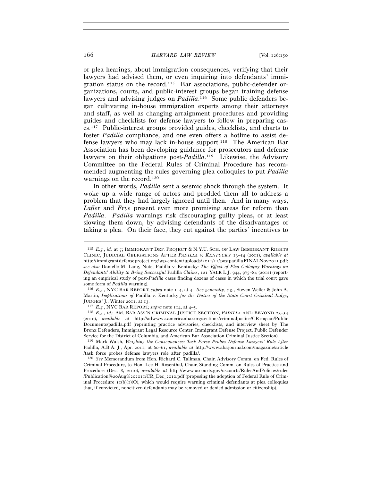or plea hearings, about immigration consequences, verifying that their lawyers had advised them, or even inquiring into defendants' immigration status on the record.115 Bar associations, public-defender organizations, courts, and public-interest groups began training defense lawyers and advising judges on *Padilla*.<sup>116</sup> Some public defenders began cultivating in-house immigration experts among their attorneys and staff, as well as changing arraignment procedures and providing guides and checklists for defense lawyers to follow in preparing cases.117 Public-interest groups provided guides, checklists, and charts to foster *Padilla* compliance, and one even offers a hotline to assist defense lawyers who may lack in-house support.118 The American Bar Association has been developing guidance for prosecutors and defense lawyers on their obligations post-Padilla.<sup>119</sup> Likewise, the Advisory Committee on the Federal Rules of Criminal Procedure has recommended augmenting the rules governing plea colloquies to put *Padilla* warnings on the record.120

In other words, *Padilla* sent a seismic shock through the system. It woke up a wide range of actors and prodded them all to address a problem that they had largely ignored until then. And in many ways, *Lafler* and *Frye* present even more promising areas for reform than *Padilla*. *Padilla* warnings risk discouraging guilty pleas, or at least slowing them down, by advising defendants of the disadvantages of taking a plea. On their face, they cut against the parties' incentives to

<sup>115</sup> *E.g.*, *id.* at 7; IMMIGRANT DEF. PROJECT & N.Y.U. SCH. OF LAW IMMIGRANT RIGHTS CLINIC, JUDICIAL OBLIGATIONS AFTER *PADILLA V. KENTUCKY* 13–14 (2011), *available at* http: // immigrant defense project. org/ wp-content/ uploads/ 2011/11/ postpadilla FINALNov 2011.pdf; *see also* Danielle M. Lang, Note, Padilla v. Kentucky*: The Effect of Plea Colloquy Warnings on Defendants' Ability to Bring Successful* Padilla *Claims*, 121 YALE L.J. 944, 975–84 (2012) (reporting an empirical study of post-*Padilla* cases finding dozens of cases in which the trial court gave some form of *Padilla* warning). 116 *E.g.*, NYC BAR REPORT, *supra* note 114, at 4. *See generally, e.g.*, Steven Weller & John A.

Martin, *Implications of* Padilla v. Kentucky *for the Duties of the State Court Criminal Judge*, JUDGES' J., Winter 2011, at 13. 117 *E.g.*, NYC BAR REPORT, *supra* note 114, at 4–5. 118 *E.g.*, *id.*; AM. BAR ASS'N CRIMINAL JUSTICE SECTION, *PADILLA* AND BEYOND <sup>23</sup>–<sup>54</sup>

<sup>(</sup>2010), *available at* http://adwww2.americanbar.org/sections/criminaljustice/CR109200/Public Documents/padilla.pdf (reprinting practice advisories, checklists, and interview sheet by The Bronx Defenders, Immigrant Legal Resource Center, Immigrant Defense Project, Public Defender Service for the District of Columbia, and American Bar Association Criminal Justice Section). 119 Mark Walsh, *Weighing the Consequences: Task Force Probes Defense Lawyers' Role After* 

Padilla, A.B.A. J., Apr. 2011, at 60–61, *available at* http://www.abajournal.com/magazine/article /task\_force\_probes\_defense\_lawyers\_role\_after\_padilla/.

<sup>120</sup> *See* Memorandum from Hon. Richard C. Tallman, Chair, Advisory Comm. on Fed. Rules of Criminal Procedure, to Hon. Lee H. Rosenthal, Chair, Standing Comm. on Rules of Practice and Procedure (Dec. 8, 2010), *available at* http://www.uscourts.gov/uscourts/RulesAndPolicies/rules /Publication%20Aug%202011/CR\_Dec\_2010.pdf (proposing the adoption of Federal Rule of Criminal Procedure  $\text{I}(b)(1)(0)$ , which would require warning criminal defendants at plea colloquies that, if convicted, noncitizen defendants may be removed or denied admission or citizenship).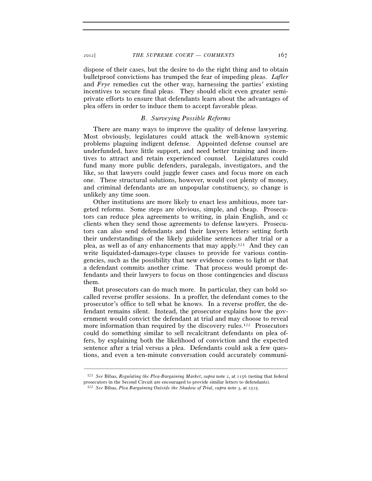dispose of their cases, but the desire to do the right thing and to obtain bulletproof convictions has trumped the fear of impeding pleas. *Lafler* and *Frye* remedies cut the other way, harnessing the parties' existing incentives to secure final pleas. They should elicit even greater semiprivate efforts to ensure that defendants learn about the advantages of plea offers in order to induce them to accept favorable pleas.

#### *B. Surveying Possible Reforms*

There are many ways to improve the quality of defense lawyering. Most obviously, legislatures could attack the well-known systemic problems plaguing indigent defense. Appointed defense counsel are underfunded, have little support, and need better training and incentives to attract and retain experienced counsel. Legislatures could fund many more public defenders, paralegals, investigators, and the like, so that lawyers could juggle fewer cases and focus more on each one. These structural solutions, however, would cost plenty of money, and criminal defendants are an unpopular constituency, so change is unlikely any time soon.

Other institutions are more likely to enact less ambitious, more targeted reforms. Some steps are obvious, simple, and cheap. Prosecutors can reduce plea agreements to writing, in plain English, and cc clients when they send those agreements to defense lawyers. Prosecutors can also send defendants and their lawyers letters setting forth their understandings of the likely guideline sentences after trial or a plea, as well as of any enhancements that may apply.121 And they can write liquidated-damages-type clauses to provide for various contingencies, such as the possibility that new evidence comes to light or that a defendant commits another crime. That process would prompt defendants and their lawyers to focus on those contingencies and discuss them.

But prosecutors can do much more. In particular, they can hold socalled reverse proffer sessions. In a proffer, the defendant comes to the prosecutor's office to tell what he knows. In a reverse proffer, the defendant remains silent. Instead, the prosecutor explains how the government would convict the defendant at trial and may choose to reveal more information than required by the discovery rules.122 Prosecutors could do something similar to sell recalcitrant defendants on plea offers, by explaining both the likelihood of conviction and the expected sentence after a trial versus a plea. Defendants could ask a few questions, and even a ten-minute conversation could accurately communi-

––––––––––––––––––––––––––––––––––––––––––––––––––––––––––––– 121 *See* Bibas, *Regulating the Plea-Bargaining Market*, *supra* note 2, at 1156 (noting that federal

prosecutors in the Second Circuit are encouraged to provide similar letters to defendants). 122 *See* Bibas, *Plea Bargaining Outside the Shadow of Trial*, *supra* note 3, at 2525.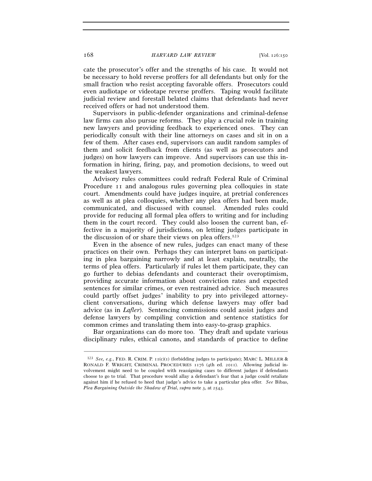cate the prosecutor's offer and the strengths of his case. It would not be necessary to hold reverse proffers for all defendants but only for the small fraction who resist accepting favorable offers. Prosecutors could even audiotape or videotape reverse proffers. Taping would facilitate judicial review and forestall belated claims that defendants had never received offers or had not understood them.

Supervisors in public-defender organizations and criminal-defense law firms can also pursue reforms. They play a crucial role in training new lawyers and providing feedback to experienced ones. They can periodically consult with their line attorneys on cases and sit in on a few of them. After cases end, supervisors can audit random samples of them and solicit feedback from clients (as well as prosecutors and judges) on how lawyers can improve. And supervisors can use this information in hiring, firing, pay, and promotion decisions, to weed out the weakest lawyers.

Advisory rules committees could redraft Federal Rule of Criminal Procedure 11 and analogous rules governing plea colloquies in state court. Amendments could have judges inquire, at pretrial conferences as well as at plea colloquies, whether any plea offers had been made, communicated, and discussed with counsel. Amended rules could provide for reducing all formal plea offers to writing and for including them in the court record. They could also loosen the current ban, effective in a majority of jurisdictions, on letting judges participate in the discussion of or share their views on plea offers.123

Even in the absence of new rules, judges can enact many of these practices on their own. Perhaps they can interpret bans on participating in plea bargaining narrowly and at least explain, neutrally, the terms of plea offers. Particularly if rules let them participate, they can go further to debias defendants and counteract their overoptimism, providing accurate information about conviction rates and expected sentences for similar crimes, or even restrained advice. Such measures could partly offset judges' inability to pry into privileged attorneyclient conversations, during which defense lawyers may offer bad advice (as in *Lafler*). Sentencing commissions could assist judges and defense lawyers by compiling conviction and sentence statistics for common crimes and translating them into easy-to-grasp graphics.

Bar organizations can do more too. They draft and update various disciplinary rules, ethical canons, and standards of practice to define

<sup>&</sup>lt;sup>123</sup> *See, e.g.*, FED. R. CRIM. P.  $\text{I}(\text{c})(\text{I})$  (forbidding judges to participate); MARC L. MILLER & RONALD F. WRIGHT, CRIMINAL PROCEDURES 1176 (4th ed. 2011). Allowing judicial involvement might need to be coupled with reassigning cases to different judges if defendants choose to go to trial. That procedure would allay a defendant's fear that a judge could retaliate against him if he refused to heed that judge's advice to take a particular plea offer. *See* Bibas, *Plea Bargaining Outside the Shadow of Trial*, *supra* note 3, at 2543.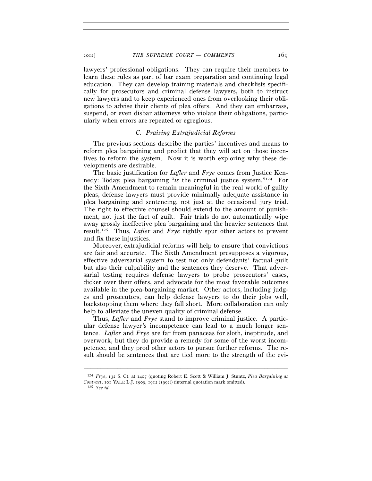lawyers' professional obligations. They can require their members to learn these rules as part of bar exam preparation and continuing legal education. They can develop training materials and checklists specifically for prosecutors and criminal defense lawyers, both to instruct new lawyers and to keep experienced ones from overlooking their obligations to advise their clients of plea offers. And they can embarrass, suspend, or even disbar attorneys who violate their obligations, particularly when errors are repeated or egregious.

## *C. Praising Extrajudicial Reforms*

The previous sections describe the parties' incentives and means to reform plea bargaining and predict that they will act on those incentives to reform the system. Now it is worth exploring why these developments are desirable.

The basic justification for *Lafler* and *Frye* comes from Justice Kennedy: Today, plea bargaining "*is* the criminal justice system."124 For the Sixth Amendment to remain meaningful in the real world of guilty pleas, defense lawyers must provide minimally adequate assistance in plea bargaining and sentencing, not just at the occasional jury trial. The right to effective counsel should extend to the amount of punishment, not just the fact of guilt. Fair trials do not automatically wipe away grossly ineffective plea bargaining and the heavier sentences that result.125 Thus, *Lafler* and *Frye* rightly spur other actors to prevent and fix these injustices.

Moreover, extrajudicial reforms will help to ensure that convictions are fair and accurate. The Sixth Amendment presupposes a vigorous, effective adversarial system to test not only defendants' factual guilt but also their culpability and the sentences they deserve. That adversarial testing requires defense lawyers to probe prosecutors' cases, dicker over their offers, and advocate for the most favorable outcomes available in the plea-bargaining market. Other actors, including judges and prosecutors, can help defense lawyers to do their jobs well, backstopping them where they fall short. More collaboration can only help to alleviate the uneven quality of criminal defense.

Thus, *Lafler* and *Frye* stand to improve criminal justice. A particular defense lawyer's incompetence can lead to a much longer sentence. *Lafler* and *Frye* are far from panaceas for sloth, ineptitude, and overwork, but they do provide a remedy for some of the worst incompetence, and they prod other actors to pursue further reforms. The result should be sentences that are tied more to the strength of the evi-

<sup>124</sup> *Frye*, 132 S. Ct. at 1407 (quoting Robert E. Scott & William J. Stuntz, *Plea Bargaining as Contract*, 101 YALE L.J. 1909, 1912 (1992)) (internal quotation mark omitted). 125 *See id.*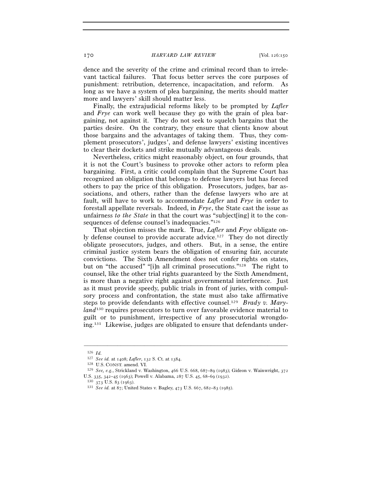dence and the severity of the crime and criminal record than to irrelevant tactical failures. That focus better serves the core purposes of punishment: retribution, deterrence, incapacitation, and reform. As long as we have a system of plea bargaining, the merits should matter more and lawyers' skill should matter less.

Finally, the extrajudicial reforms likely to be prompted by *Lafler* and *Frye* can work well because they go with the grain of plea bargaining, not against it. They do not seek to squelch bargains that the parties desire. On the contrary, they ensure that clients know about those bargains and the advantages of taking them. Thus, they complement prosecutors', judges', and defense lawyers' existing incentives to clear their dockets and strike mutually advantageous deals.

Nevertheless, critics might reasonably object, on four grounds, that it is not the Court's business to provoke other actors to reform plea bargaining. First, a critic could complain that the Supreme Court has recognized an obligation that belongs to defense lawyers but has forced others to pay the price of this obligation. Prosecutors, judges, bar associations, and others, rather than the defense lawyers who are at fault, will have to work to accommodate *Lafler* and *Frye* in order to forestall appellate reversals. Indeed, in *Frye*, the State cast the issue as unfairness *to the State* in that the court was "subject[ing] it to the consequences of defense counsel's inadequacies."126

That objection misses the mark. True, *Lafler* and *Frye* obligate only defense counsel to provide accurate advice.<sup>127</sup> They do not directly obligate prosecutors, judges, and others. But, in a sense, the entire criminal justice system bears the obligation of ensuring fair, accurate convictions. The Sixth Amendment does not confer rights on states, but on "the accused" "[i]n all criminal prosecutions."128 The right to counsel, like the other trial rights guaranteed by the Sixth Amendment, is more than a negative right against governmental interference. Just as it must provide speedy, public trials in front of juries, with compulsory process and confrontation, the state must also take affirmative steps to provide defendants with effective counsel.129 *Brady v. Maryland*130 requires prosecutors to turn over favorable evidence material to guilt or to punishment, irrespective of any prosecutorial wrongdoing.131 Likewise, judges are obligated to ensure that defendants under-

<sup>126</sup> *Id.*<br>127 *See id.* at 1408; *Lafler*, 132 S. Ct. at 1384.

<sup>&</sup>lt;sup>128</sup> U.S. CONST. amend. VI.<br><sup>129</sup> *See, e.g.*, Strickland v. Washington, 466 U.S. 668, 687–89 (1983); Gideon v. Wainwright, 372 U.S. 335, 342–45 (1963); Powell v. Alabama, 287 U.S. 45, 68–69 (1932). 130 <sup>373</sup> U.S. 83 (1963). 131 *See id.* at 87; United States v. Bagley, 473 U.S. 667, 682–83 (1985).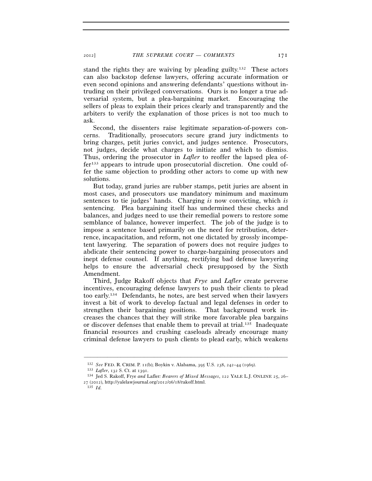stand the rights they are waiving by pleading guilty.132 These actors can also backstop defense lawyers, offering accurate information or even second opinions and answering defendants' questions without intruding on their privileged conversations. Ours is no longer a true adversarial system, but a plea-bargaining market. Encouraging the sellers of pleas to explain their prices clearly and transparently and the arbiters to verify the explanation of those prices is not too much to ask.

Second, the dissenters raise legitimate separation-of-powers concerns. Traditionally, prosecutors secure grand jury indictments to bring charges, petit juries convict, and judges sentence. Prosecutors, not judges, decide what charges to initiate and which to dismiss. Thus, ordering the prosecutor in *Lafler* to reoffer the lapsed plea offer133 appears to intrude upon prosecutorial discretion. One could offer the same objection to prodding other actors to come up with new solutions.

But today, grand juries are rubber stamps, petit juries are absent in most cases, and prosecutors use mandatory minimum and maximum sentences to tie judges' hands. Charging *is* now convicting, which *is* sentencing. Plea bargaining itself has undermined these checks and balances, and judges need to use their remedial powers to restore some semblance of balance, however imperfect. The job of the judge is to impose a sentence based primarily on the need for retribution, deterrence, incapacitation, and reform, not one dictated by grossly incompetent lawyering. The separation of powers does not require judges to abdicate their sentencing power to charge-bargaining prosecutors and inept defense counsel. If anything, rectifying bad defense lawyering helps to ensure the adversarial check presupposed by the Sixth Amendment.

Third, Judge Rakoff objects that *Frye* and *Lafler* create perverse incentives, encouraging defense lawyers to push their clients to plead too early.134 Defendants, he notes, are best served when their lawyers invest a bit of work to develop factual and legal defenses in order to strengthen their bargaining positions. That background work increases the chances that they will strike more favorable plea bargains or discover defenses that enable them to prevail at trial.135 Inadequate financial resources and crushing caseloads already encourage many criminal defense lawyers to push clients to plead early, which weakens

<sup>&</sup>lt;sup>132</sup> See FED. R. CRIM. P. 11(b); Boykin v. Alabama, 395 U.S. 238, 242-44 (1969).<br><sup>133</sup> Lafler, 132 S. Ct. at 1391.<br><sup>134</sup> Jed S. Rakoff, Frye *and Lafler: Bearers of Mixed Messages*, 122 YALE L.J. ONLINE 25, 26–  $27 (2012)$ , http://yalelawjournal.org/2012/06/18/rakoff.html.<br><sup>135</sup> *Id.*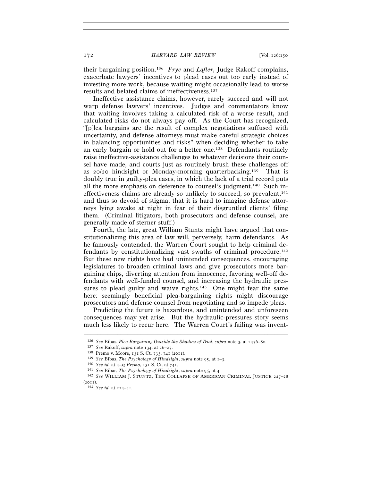their bargaining position.136 *Frye* and *Lafler*, Judge Rakoff complains, exacerbate lawyers' incentives to plead cases out too early instead of investing more work, because waiting might occasionally lead to worse results and belated claims of ineffectiveness.137

Ineffective assistance claims, however, rarely succeed and will not warp defense lawyers' incentives. Judges and commentators know that waiting involves taking a calculated risk of a worse result, and calculated risks do not always pay off. As the Court has recognized, "[p]lea bargains are the result of complex negotiations suffused with uncertainty, and defense attorneys must make careful strategic choices in balancing opportunities and risks" when deciding whether to take an early bargain or hold out for a better one.138 Defendants routinely raise ineffective-assistance challenges to whatever decisions their counsel have made, and courts just as routinely brush these challenges off as  $20/20$  hindsight or Monday-morning quarterbacking.<sup>139</sup> That is doubly true in guilty-plea cases, in which the lack of a trial record puts all the more emphasis on deference to counsel's judgment.140 Such ineffectiveness claims are already so unlikely to succeed, so prevalent,<sup>141</sup> and thus so devoid of stigma, that it is hard to imagine defense attorneys lying awake at night in fear of their disgruntled clients' filing them. (Criminal litigators, both prosecutors and defense counsel, are generally made of sterner stuff.)

Fourth, the late, great William Stuntz might have argued that constitutionalizing this area of law will, perversely, harm defendants. As he famously contended, the Warren Court sought to help criminal defendants by constitutionalizing vast swaths of criminal procedure.142 But these new rights have had unintended consequences, encouraging legislatures to broaden criminal laws and give prosecutors more bargaining chips, diverting attention from innocence, favoring well-off defendants with well-funded counsel, and increasing the hydraulic pressures to plead guilty and waive rights.<sup>143</sup> One might fear the same here: seemingly beneficial plea-bargaining rights might discourage prosecutors and defense counsel from negotiating and so impede pleas.

Predicting the future is hazardous, and unintended and unforeseen consequences may yet arise. But the hydraulic-pressures story seems much less likely to recur here. The Warren Court's failing was invent-

<sup>&</sup>lt;sup>136</sup> See Bibas, Plea Bargaining Outside the Shadow of Trial, supra note 3, at 2476–80.<br><sup>137</sup> See Rakoff, supra note 134, at 26–27.<br><sup>138</sup> Premo v. Moore, 131 S. Ct. 733, 741 (2011).<br><sup>139</sup> See Bibas, *The Psychology of Hin* (2011). 143 *See id.* at 224–41.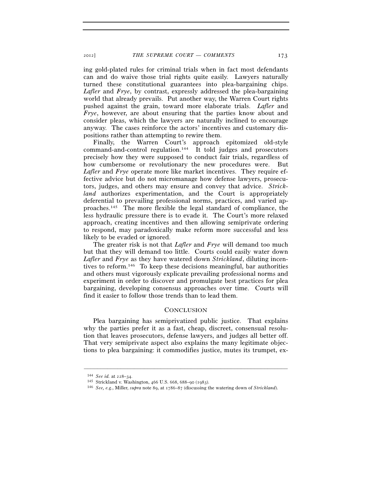ing gold-plated rules for criminal trials when in fact most defendants can and do waive those trial rights quite easily. Lawyers naturally turned these constitutional guarantees into plea-bargaining chips. *Lafler* and *Frye*, by contrast, expressly addressed the plea-bargaining world that already prevails. Put another way, the Warren Court rights pushed against the grain, toward more elaborate trials. *Lafler* and *Frye*, however, are about ensuring that the parties know about and consider pleas, which the lawyers are naturally inclined to encourage anyway. The cases reinforce the actors' incentives and customary dispositions rather than attempting to rewire them.

Finally, the Warren Court's approach epitomized old-style command-and-control regulation.144 It told judges and prosecutors precisely how they were supposed to conduct fair trials, regardless of how cumbersome or revolutionary the new procedures were. But *Lafler* and *Frye* operate more like market incentives. They require effective advice but do not micromanage how defense lawyers, prosecutors, judges, and others may ensure and convey that advice. *Strickland* authorizes experimentation, and the Court is appropriately deferential to prevailing professional norms, practices, and varied approaches.145 The more flexible the legal standard of compliance, the less hydraulic pressure there is to evade it. The Court's more relaxed approach, creating incentives and then allowing semiprivate ordering to respond, may paradoxically make reform more successful and less likely to be evaded or ignored.

The greater risk is not that *Lafler* and *Frye* will demand too much but that they will demand too little. Courts could easily water down *Lafler* and *Frye* as they have watered down *Strickland*, diluting incentives to reform.146 To keep these decisions meaningful, bar authorities and others must vigorously explicate prevailing professional norms and experiment in order to discover and promulgate best practices for plea bargaining, developing consensus approaches over time. Courts will find it easier to follow those trends than to lead them.

## **CONCLUSION**

Plea bargaining has semiprivatized public justice. That explains why the parties prefer it as a fast, cheap, discreet, consensual resolution that leaves prosecutors, defense lawyers, and judges all better off. That very semiprivate aspect also explains the many legitimate objections to plea bargaining: it commodifies justice, mutes its trumpet, ex-

<sup>144</sup> *See id.* at 228–34. 145 Strickland v. Washington, 466 U.S. 668, 688–90 (1983). 146 *See, e.g.*, Miller, *supra* note 89, at 1786–87 (discussing the watering down of *Strickland*).